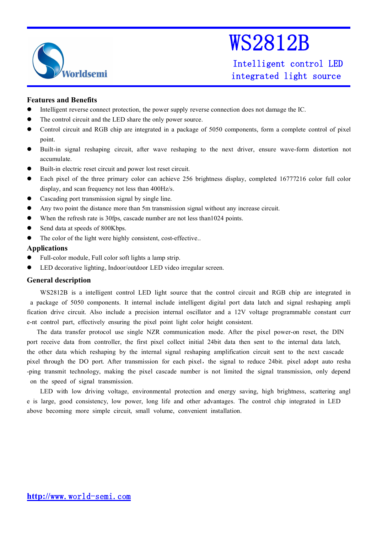

Intelligent control LED integrated light source

### **Features and Benefits**

- $\bullet$ Intelligent reverse connect protection, the power supply reverse connection does not damage the IC.
- $\bullet$ The control circuit and the LED share the only power source.
- $\bullet$  Control circuit and RGB chip are integrated in <sup>a</sup> package of 5050 components, form <sup>a</sup> complete control of pixel point.
- $\bullet$  Built-in signal reshaping circuit, after wave reshaping to the next driver, ensure wave-form distortion not accumulate.
- $\bullet$ Built-in electric reset circuit and power lost reset circuit.
- $\bullet$  Each pixel of the three primary color can achieve 256 brightness display, completed 16777216 color full color display, and scan frequency not less than 400Hz/s.
- $\bullet$ Cascading por<sup>t</sup> transmission signal by single line.
- $\bullet$ Any two point the distance more than 5m transmission signal without any increase circuit.
- $\bullet$ When the refresh rate is 30fps, cascade number are not less than1024 points.
- $\bullet$ Send data at speeds of 800Kbps.
- $\bullet$ The color of the light were highly consistent, cost-effective..

### **Applications**

- $\bullet$ Full-color module, Full color soft lights <sup>a</sup> lamp strip.
- $\bullet$ LED decorative lighting, Indoor/outdoor LED video irregular screen.

### **General description**

WS2812B is <sup>a</sup> intelligent control LED light source that the control circuit and RGB chip are integrated in <sup>a</sup> package of 5050 components. It internal include intelligent digital por<sup>t</sup> data latch and signal reshaping ampli fication drive circuit. Also include <sup>a</sup> precision internal oscillator and <sup>a</sup> 12V voltage programmable constant curr e-nt control part, effectively ensuring the pixel point light color height consistent.

The data transfer protocol use single NZR communication mode. After the pixel power-on reset, the DIN por<sup>t</sup> receive data from controller, the first pixel collect initial 24bit data then sent to the internal data latch, the other data which reshaping by the internal signal reshaping amplification circuit sent to the next cascade pixel through the DO port. After transmission for each pixel, the signal to reduce 24bit. pixel adopt auto resha -ping transmit technology, making the pixel cascade number is not limited the signal transmission, only depend on the speed of signal transmission.

LED with low driving voltage, environmental protection and energy saving, high brightness, scattering angl <sup>e</sup> is large, good consistency, low power, long life and other advantages. The control chip integrated in LED above becoming more simple circuit, small volume, convenient installation.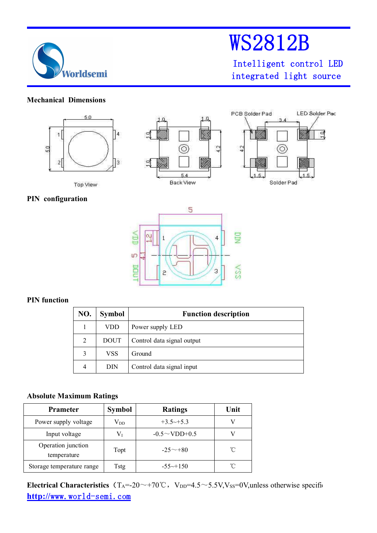

Intelligent control LED integrated light source

## **Mechanical Dimensions**



## **PIN configuration**



## **PIN function**

| NO. | <b>Symbol</b> | <b>Function description</b> |
|-----|---------------|-----------------------------|
|     | <b>VDD</b>    | Power supply LED            |
| 2   | <b>DOUT</b>   | Control data signal output  |
| 3   | VSS           | Ground                      |
| 4   | DIN           | Control data signal input   |

## **Absolute Maximum Ratings**

| <b>Prameter</b>                   | <b>Symbol</b> | <b>Ratings</b>          | Unit |
|-----------------------------------|---------------|-------------------------|------|
| Power supply voltage              | $\rm V_{DD}$  | $+3.5 \rightarrow +5.3$ |      |
| Input voltage                     | Vī            | $-0.5 \sim$ VDD+0.5     |      |
| Operation junction<br>temperature | Topt          | $-25 \sim +80$          | °C   |
| Storage temperature range         | <b>Tstg</b>   | $-55\rightarrow +150$   |      |

**http://**www.world-semi.com **Electrical Characteristics** (T<sub>A</sub>=-20~+70℃, V<sub>DD</sub>=4.5~5.5V,V<sub>SS</sub>=0V,unless otherwise specific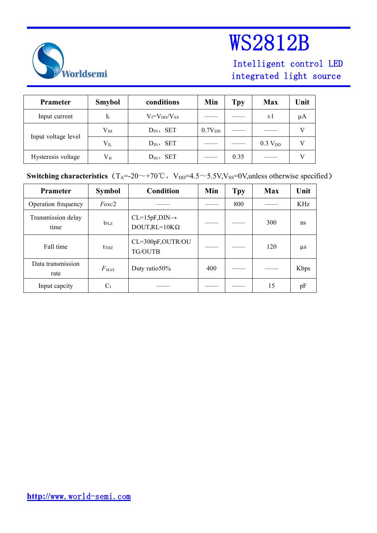

## Intelligent control LED integrated light source

| <b>Prameter</b>     | <b>Smybol</b> | conditions            | Min                | Tpy  | <b>Max</b>          | Unit |
|---------------------|---------------|-----------------------|--------------------|------|---------------------|------|
| Input current       | ÎΙ            | $V_I = V_{DD}/V_{SS}$ |                    |      | $\pm 1$             | μA   |
|                     | $\rm V_{IH}$  | $D_{IN}$ , SET        | 0.7V <sub>DD</sub> |      |                     |      |
| Input voltage level | $V_{IL}$      | $D_{IN}$ , SET        |                    |      | 0.3 V <sub>DD</sub> |      |
| Hysteresis voltage  | $\rm V_{H}$   | $D_{IN}$ , SET        |                    | 0.35 |                     |      |

**Switching characteristics** (T<sub>A</sub>=-20~+70℃, V<sub>DD</sub>=4.5~5.5V,V<sub>SS</sub>=0V,unless otherwise specified)

| <b>Prameter</b>            | <b>Symbol</b>     | Condition                                         | Min | <b>Tpy</b> | <b>Max</b> | Unit |
|----------------------------|-------------------|---------------------------------------------------|-----|------------|------------|------|
| Operation frequency        | Fosc <sub>2</sub> |                                                   |     | 800        |            | KHz  |
| Transmission delay<br>time | $t_{\rm PLZ}$     | $CL=15pF, DIN\rightarrow$<br>$DOUT, RL=10K\Omega$ |     |            | 300        | ns   |
| Fall time                  | $t_{THZ}$         | CL=300pF,OUTR/OU<br>TG/OUTB                       |     |            | 120        | μs   |
| Data transmission<br>rate  | $F_{MAX}$         | Duty ratio50%                                     | 400 |            |            | Kbps |
| Input capcity              | $C_I$             |                                                   |     |            | 15         | pF   |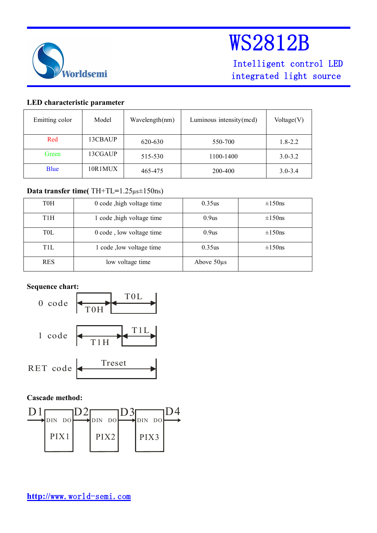

Intelligent control LED integrated light source

### **LED characteristic parameter**

| Emitting color | Model   | Wavelength(nm) | Luminous intensity (mcd) | Voltage(V)  |
|----------------|---------|----------------|--------------------------|-------------|
| Red            | 13CBAUP | 620-630        | 550-700                  | $1.8 - 2.2$ |
| Green          | 13CGAUP | 515-530        | 1100-1400                | $3.0 - 3.2$ |
| <b>B</b> lue   | 10R1MUX | 465-475        | 200-400                  | $3.0 - 3.4$ |

## **Data transfer time(** TH+TL**=**1.25µs±150ns)

| <b>TOH</b>      | 0 code , high voltage time | 0.35us          | $\pm 150$ ns |
|-----------------|----------------------------|-----------------|--------------|
| T1H             | 1 code , high voltage time | 0.9us           | $\pm 150$ ns |
| T0L             | 0 code, low voltage time   | 0.9us           | $\pm 150$ ns |
| TH <sub>L</sub> | 1 code , low voltage time  | 0.35us          | $\pm 150$ ns |
| <b>RES</b>      | low voltage time           | Above $50\mu s$ |              |

## **Sequence chart:**



## **Cascade method:**

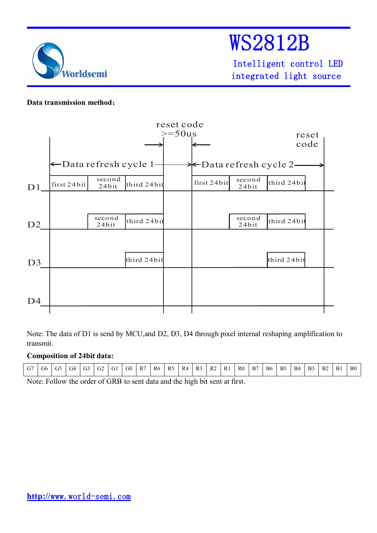

Intelligent control LED integrated light source

### **Data transmission method**:



Note: The data of D1 is send by MCU,and D2, D3, D4 through pixel internal reshaping amplification to transmit.

## **Composition of 24bit data:**

| J.<br>.<br>__ | $\sim$<br>$\sim$<br>B <sub>6</sub><br>R <sub>0</sub><br>$\sim$<br>$\sim$ $\sim$<br>R <sub>4</sub><br>B <sub>5</sub><br>B7<br>G <sub>0</sub><br>R <sub>1</sub><br><b>B4</b><br>B1<br>$\overline{\phantom{a}}$<br>$\sim$<br>R2<br>R <sub>6</sub><br>B <sub>3</sub><br>R3<br>D 5<br>R7<br>B <sub>2</sub><br>U.<br>$\mathbf{u}$<br>U4<br>UΖ<br>U0<br>U. |
|---------------|-----------------------------------------------------------------------------------------------------------------------------------------------------------------------------------------------------------------------------------------------------------------------------------------------------------------------------------------------------|
|---------------|-----------------------------------------------------------------------------------------------------------------------------------------------------------------------------------------------------------------------------------------------------------------------------------------------------------------------------------------------------|

Note: Follow the order of GRB to sent data and the high bit sent at first.